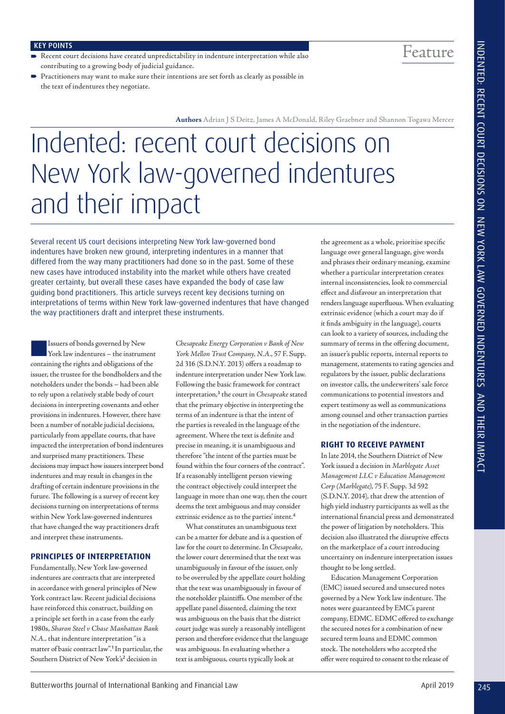Feature

# KEY POINTS

- Recent court decisions have created unpredictability in indenture interpretation while also contributing to a growing body of judicial guidance.
- Practitioners may want to make sure their intentions are set forth as clearly as possible in the text of indentures they negotiate.

**Authors** Adrian J S Deitz, James A McDonald, Riley Graebner and Shannon Togawa Mercer

# Indented: recent court decisions on New York law-governed indentures and their impact

Several recent US court decisions interpreting New York law-governed bond indentures have broken new ground, interpreting indentures in a manner that differed from the way many practitioners had done so in the past. Some of these new cases have introduced instability into the market while others have created greater certainty, but overall these cases have expanded the body of case law guiding bond practitioners. This article surveys recent key decisions turning on interpretations of terms within New York law-governed indentures that have changed the way practitioners draft and interpret these instruments.

Issuers of bonds governed by New York law indentures – the instrument containing the rights and obligations of the issuer, the trustee for the bondholders and the noteholders under the bonds – had been able to rely upon a relatively stable body of court decisions in interpreting covenants and other provisions in indentures. However, there have been a number of notable judicial decisions, particularly from appellate courts, that have impacted the interpretation of bond indentures and surprised many practitioners. These decisions may impact how issuers interpret bond indentures and may result in changes in the drafting of certain indenture provisions in the future. The following is a survey of recent key decisions turning on interpretations of terms within New York law-governed indentures that have changed the way practitioners draft and interpret these instruments.

#### **PRINCIPLES OF INTERPRETATION**

Fundamentally, New York law-governed indentures are contracts that are interpreted in accordance with general principles of New York contract law. Recent judicial decisions have reinforced this construct, building on a principle set forth in a case from the early 1980s, *Sharon Steel v Chase Manhattan Bank N.A.,* that indenture interpretation "is a matter of basic contract law".<sup>1</sup>In particular, the Southern District of New York's<sup>2</sup> decision in '

*Chesapeake Energy Corporation v Bank of New York Mellon Trust Company, N.A.*, 57 F. Supp. 2d 316 (S.D.N.Y. 2013) offers a roadmap to indenture interpretation under New York law. Following the basic framework for contract interpretation,<sup>3</sup> the court in *Chesapeake* stated that the primary objective in interpreting the terms of an indenture is that the intent of the parties is revealed in the language of the agreement. Where the text is defnite and precise in meaning, it is unambiguous and therefore "the intent of the parties must be found within the four corners of the contract". If a reasonably intelligent person viewing the contract objectively could interpret the language in more than one way, then the court deems the text ambiguous and may consider extrinsic evidence as to the parties' intent.<sup>4</sup>

What constitutes an unambiguous text can be a matter for debate and is a question of law for the court to determine. In *Chesapeake*, the lower court determined that the text was unambiguously in favour of the issuer, only to be overruled by the appellate court holding that the text was unambiguously in favour of the noteholder plaintifs. One member of the appellate panel dissented, claiming the text was ambiguous on the basis that the district court judge was surely a reasonably intelligent person and therefore evidence that the language was ambiguous. In evaluating whether a text is ambiguous, courts typically look at

the agreement as a whole, prioritise specifc language over general language, give words and phrases their ordinary meaning, examine whether a particular interpretation creates internal inconsistencies, look to commercial efect and disfavour an interpretation that renders language superfuous. When evaluating extrinsic evidence (which a court may do if it fnds ambiguity in the language), courts can look to a variety of sources, including the summary of terms in the offering document, an issuer's public reports, internal reports to management, statements to rating agencies and regulators by the issuer, public declarations on investor calls, the underwriters' sale force communications to potential investors and expert testimony as well as communications among counsel and other transaction parties in the negotiation of the indenture. '

# **RIGHT TO RECEIVE PAYMENT**

In late 2014, the Southern District of New York issued a decision in *Marblegate Asset Management LLC v Education Management Corp (Marblegate)*, 75 F. Supp. 3d 592 (S.D.N.Y. 2014), that drew the attention of high yield industry participants as well as the international fnancial press and demonstrated the power of litigation by noteholders. This decision also illustrated the disruptive efects on the marketplace of a court introducing uncertainty on indenture interpretation issues thought to be long settled.

Education Management Corporation (EMC) issued secured and unsecured notes governed by a New York law indenture. The notes were guaranteed by EMC's parent company, EDMC. EDMC ofered to exchange the secured notes for a combination of new secured term loans and EDMC common stock. The noteholders who accepted the ofer were required to consent to the release of '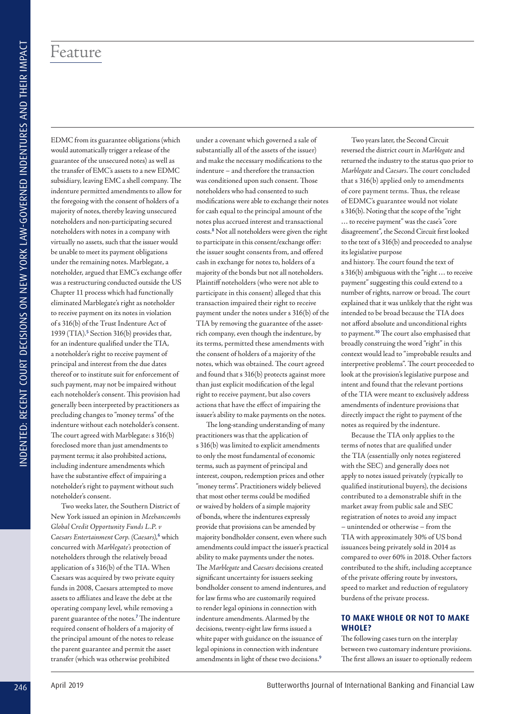EDMC from its guarantee obligations (which would automatically trigger a release of the guarantee of the unsecured notes) as well as the transfer of EMC's assets to a new EDMC subsidiary, leaving EMC a shell company. The indenture permitted amendments to allow for the foregoing with the consent of holders of a majority of notes, thereby leaving unsecured noteholders and non-participating secured noteholders with notes in a company with virtually no assets, such that the issuer would be unable to meet its payment obligations under the remaining notes. Marblegate, a noteholder, argued that EMC's exchange offer was a restructuring conducted outside the US Chapter 11 process which had functionally eliminated Marblegate's right as noteholder to receive payment on its notes in violation of s 316(b) of the Trust Indenture Act of 1939 (TIA).<sup>5</sup> Section 316(b) provides that, for an indenture qualifed under the TIA, a noteholder's right to receive payment of principal and interest from the due dates thereof or to institute suit for enforcement of such payment, may not be impaired without each noteholder's consent. This provision had generally been interpreted by practitioners as precluding changes to "money terms" of the indenture without each noteholder's consent. The court agreed with Marblegate: s 316(b) foreclosed more than just amendments to payment terms; it also prohibited actions, including indenture amendments which have the substantive efect of impairing a noteholder's right to payment without such noteholder's consent. ' ' ' ' ' ' ' '

Two weeks later, the Southern District of New York issued an opinion in *Meehancombs Global Credit Opportunity Funds L.P. v*  Caesars Entertainment Corp. (Caesars),<sup>6</sup> which concurred with *Marblegate's* protection of noteholders through the relatively broad application of s 316(b) of the TIA. When Caesars was acquired by two private equity funds in 2008, Caesars attempted to move assets to afliates and leave the debt at the operating company level, while removing a parent guarantee of the notes.<sup>7</sup> The indenture required consent of holders of a majority of the principal amount of the notes to release the parent guarantee and permit the asset transfer (which was otherwise prohibited

under a covenant which governed a sale of substantially all of the assets of the issuer) and make the necessary modifcations to the indenture – and therefore the transaction was conditioned upon such consent. Those noteholders who had consented to such modifcations were able to exchange their notes for cash equal to the principal amount of the notes plus accrued interest and transactional costs.<sup>8</sup> Not all noteholders were given the right to participate in this consent/exchange ofer: the issuer sought consents from, and ofered cash in exchange for notes to, holders of a majority of the bonds but not all noteholders. Plaintif noteholders (who were not able to participate in this consent) alleged that this transaction impaired their right to receive payment under the notes under s 316(b) of the TIA by removing the guarantee of the assetrich company, even though the indenture, by its terms, permitted these amendments with the consent of holders of a majority of the notes, which was obtained. The court agreed and found that s 316(b) protects against more than just explicit modifcation of the legal right to receive payment, but also covers actions that have the efect of impairing the issuer's ability to make payments on the notes. '

The long-standing understanding of many practitioners was that the application of s 316(b) was limited to explicit amendments to only the most fundamental of economic terms, such as payment of principal and interest, coupon, redemption prices and other "money terms". Practitioners widely believed that most other terms could be modifed or waived by holders of a simple majority of bonds, where the indentures expressly provide that provisions can be amended by majority bondholder consent, even where such amendments could impact the issuer's practical ability to make payments under the notes. The *Marblegate* and *Caesars* decisions created signifcant uncertainty for issuers seeking bondholder consent to amend indentures, and for law frms who are customarily required to render legal opinions in connection with indenture amendments. Alarmed by the decisions, twenty-eight law frms issued a white paper with guidance on the issuance of legal opinions in connection with indenture amendments in light of these two decisions.<sup>9</sup> '

Two years later, the Second Circuit reversed the district court in *Marblegate* and returned the industry to the status quo prior to *Marblegate* and *Caesars*. The court concluded that s 316(b) applied only to amendments of core payment terms. Thus, the release of EDMC's guarantee would not violate s 316(b). Noting that the scope of the "right ... to receive payment" was the case's "core disagreement", the Second Circuit frst looked to the text of s 316(b) and proceeded to analyse its legislative purpose ' '

and history. The court found the text of s 316(b) ambiguous with the "right … to receive payment" suggesting this could extend to a number of rights, narrow or broad. The court explained that it was unlikely that the right was intended to be broad because the TIA does not aford absolute and unconditional rights to payment.<sup>10</sup> The court also emphasised that broadly construing the word "right" in this context would lead to "improbable results and interpretive problems". The court proceeded to look at the provision's legislative purpose and intent and found that the relevant portions of the TIA were meant to exclusively address amendments of indenture provisions that directly impact the right to payment of the notes as required by the indenture. '

Because the TIA only applies to the terms of notes that are qualifed under the TIA (essentially only notes registered with the SEC) and generally does not apply to notes issued privately (typically to qualifed institutional buyers), the decisions contributed to a demonstrable shift in the market away from public sale and SEC registration of notes to avoid any impact – unintended or otherwise – from the TIA with approximately 30% of US bond issuances being privately sold in 2014 as compared to over 60% in 2018. Other factors contributed to the shift, including acceptance of the private offering route by investors, speed to market and reduction of regulatory burdens of the private process.

# **TO MAKE WHOLE OR NOT TO MAKE WHOLE?**

The following cases turn on the interplay between two customary indenture provisions. The first allows an issuer to optionally redeem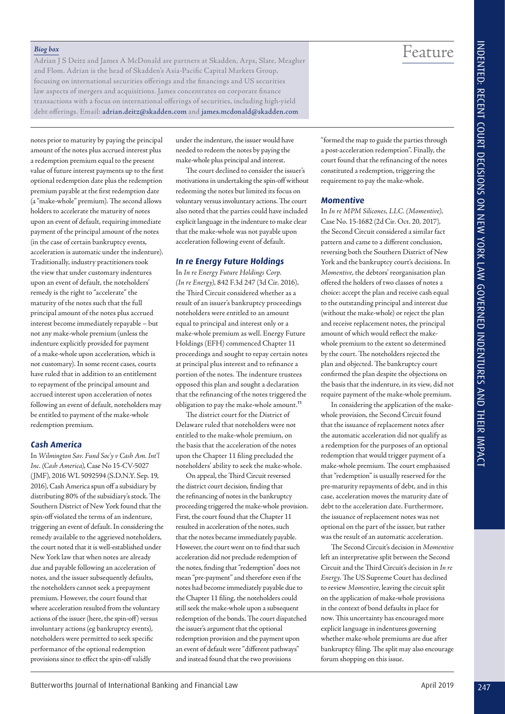#### *Biog box*

Adrian J S Deitz and James A McDonald are partners at Skadden, Arps, Slate, Meagher and Flom. Adrian is the head of Skadden's Asia-Pacifc Capital Markets Group, focusing on international securities oferings and the fnancings and US securities law aspects of mergers and acquisitions. James concentrates on corporate fnance transactions with a focus on international oferings of securities, including high-yield debt oferings. Email: adrian.deitz@skadden.com and james.mcdonald@skadden.com

notes prior to maturity by paying the principal amount of the notes plus accrued interest plus a redemption premium equal to the present value of future interest payments up to the frst optional redemption date plus the redemption premium payable at the frst redemption date (a "make-whole" premium). The second allows holders to accelerate the maturity of notes upon an event of default, requiring immediate payment of the principal amount of the notes (in the case of certain bankruptcy events, acceleration is automatic under the indenture). Traditionally, industry practitioners took the view that under customary indentures upon an event of default, the noteholders' remedy is the right to "accelerate" the maturity of the notes such that the full principal amount of the notes plus accrued interest become immediately repayable – but not any make-whole premium (unless the indenture explicitly provided for payment of a make-whole upon acceleration, which is not customary). In some recent cases, courts have ruled that in addition to an entitlement to repayment of the principal amount and accrued interest upon acceleration of notes following an event of default, noteholders may be entitled to payment of the make-whole redemption premium.

#### **Cash America**

In *Wilmington Sav. Fund Soc'y v Cash Am. Int'l Inc. (Cash America)*, Case No 15-CV-5027 (JMF), 2016 WL 5092594 (S.D.N.Y. Sep. 19, 2016), Cash America spun off a subsidiary by distributing 80% of the subsidiary's stock. The Southern District of New York found that the spin-off violated the terms of an indenture. triggering an event of default. In considering the remedy available to the aggrieved noteholders, the court noted that it is well-established under New York law that when notes are already due and payable following an acceleration of notes, and the issuer subsequently defaults, the noteholders cannot seek a prepayment premium. However, the court found that where acceleration resulted from the voluntary actions of the issuer (here, the spin-of) versus involuntary actions (eg bankruptcy events), noteholders were permitted to seek specifc performance of the optional redemption provisions since to efect the spin-of validly

under the indenture, the issuer would have needed to redeem the notes by paying the make-whole plus principal and interest.

The court declined to consider the issuer's motivations in undertaking the spin-of without redeeming the notes but limited its focus on voluntary versus involuntary actions. The court also noted that the parties could have included explicit language in the indenture to make clear that the make-whole was not payable upon acceleration following event of default.

#### **In re Energy Future Holdings**

In *In re Energy Future Holdings Corp. (In re Energy)*, 842 F.3d 247 (3d Cir. 2016)*,*  the Third Circuit considered whether as a result of an issuer's bankruptcy proceedings noteholders were entitled to an amount equal to principal and interest only or a make-whole premium as well. Energy Future Holdings (EFH) commenced Chapter 11 proceedings and sought to repay certain notes at principal plus interest and to refnance a portion of the notes. The indenture trustees opposed this plan and sought a declaration that the refnancing of the notes triggered the obligation to pay the make-whole amount.<sup>11</sup>

The district court for the District of Delaware ruled that noteholders were not entitled to the make-whole premium, on the basis that the acceleration of the notes upon the Chapter 11 fling precluded the noteholders' ability to seek the make-whole.

On appeal, the Third Circuit reversed the district court decision, fnding that the refnancing of notes in the bankruptcy proceeding triggered the make-whole provision. First, the court found that the Chapter 11 resulted in acceleration of the notes, such that the notes became immediately payable. However, the court went on to fnd that such acceleration did not preclude redemption of the notes, fnding that "redemption" does not mean "pre-payment" and therefore even if the notes had become immediately payable due to the Chapter 11 fling, the noteholders could still seek the make-whole upon a subsequent redemption of the bonds. The court dispatched the issuer's argument that the optional redemption provision and the payment upon an event of default were "diferent pathways" and instead found that the two provisions

"formed the map to guide the parties through a post-acceleration redemption". Finally, the court found that the refnancing of the notes constituted a redemption, triggering the requirement to pay the make-whole.

Feature

# **Momentive**

In *In re MPM Silicones, LLC. (Momentive),*  Case No. 15-1682 (2d Cir. Oct. 20, 2017), the Second Circuit considered a similar fact pattern and came to a diferent conclusion, reversing both the Southern District of New York and the bankruptcy court's decisions. In *Momentive*, the debtors' reorganisation plan ofered the holders of two classes of notes a choice: accept the plan and receive cash equal to the outstanding principal and interest due (without the make-whole) or reject the plan and receive replacement notes, the principal amount of which would refect the makewhole premium to the extent so determined by the court. The noteholders rejected the plan and objected. The bankruptcy court confrmed the plan despite the objections on the basis that the indenture, in its view, did not require payment of the make-whole premium.

In considering the application of the makewhole provision, the Second Circuit found that the issuance of replacement notes after the automatic acceleration did not qualify as a redemption for the purposes of an optional redemption that would trigger payment of a make-whole premium. The court emphasised that "redemption" is usually reserved for the pre-maturity repayments of debt, and in this case, acceleration moves the maturity date of debt to the acceleration date. Furthermore, the issuance of replacement notes was not optional on the part of the issuer, but rather was the result of an automatic acceleration.

The Second Circuit's decision in *Momentive* left an interpretative split between the Second Circuit and the Third Circuit's decision in *In re Energy*. The US Supreme Court has declined to review *Momentive*, leaving the circuit split on the application of make-whole provisions in the context of bond defaults in place for now. This uncertainty has encouraged more explicit language in indentures governing whether make-whole premiums are due after bankruptcy filing. The split may also encourage forum shopping on this issue.